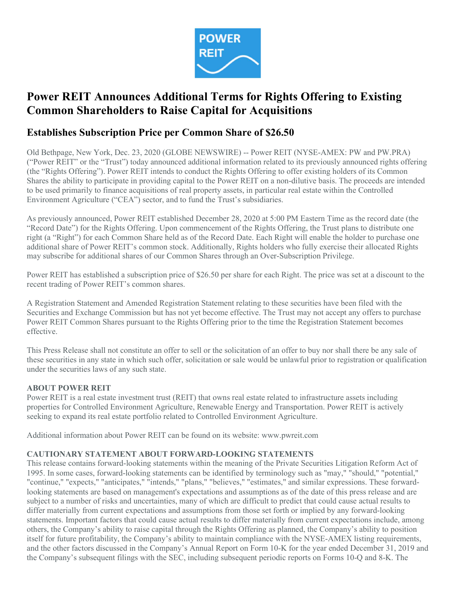

# Power REIT Announces Additional Terms for Rights Offering to Existing Common Shareholders to Raise Capital for Acquisitions

## Establishes Subscription Price per Common Share of \$26.50

Old Bethpage, New York, Dec. 23, 2020 (GLOBE NEWSWIRE) -- Power REIT (NYSE-AMEX: PW and PW.PRA) ("Power REIT" or the "Trust") today announced additional information related to its previously announced rights offering (the "Rights Offering"). Power REIT intends to conduct the Rights Offering to offer existing holders of its Common Shares the ability to participate in providing capital to the Power REIT on a non-dilutive basis. The proceeds are intended to be used primarily to finance acquisitions of real property assets, in particular real estate within the Controlled Environment Agriculture ("CEA") sector, and to fund the Trust's subsidiaries.

As previously announced, Power REIT established December 28, 2020 at 5:00 PM Eastern Time as the record date (the "Record Date") for the Rights Offering. Upon commencement of the Rights Offering, the Trust plans to distribute one right (a "Right") for each Common Share held as of the Record Date. Each Right will enable the holder to purchase one additional share of Power REIT's common stock. Additionally, Rights holders who fully exercise their allocated Rights may subscribe for additional shares of our Common Shares through an Over-Subscription Privilege.

Power REIT has established a subscription price of \$26.50 per share for each Right. The price was set at a discount to the recent trading of Power REIT's common shares.

A Registration Statement and Amended Registration Statement relating to these securities have been filed with the Securities and Exchange Commission but has not yet become effective. The Trust may not accept any offers to purchase Power REIT Common Shares pursuant to the Rights Offering prior to the time the Registration Statement becomes effective.

This Press Release shall not constitute an offer to sell or the solicitation of an offer to buy nor shall there be any sale of these securities in any state in which such offer, solicitation or sale would be unlawful prior to registration or qualification under the securities laws of any such state.

#### ABOUT POWER REIT

Power REIT is a real estate investment trust (REIT) that owns real estate related to infrastructure assets including properties for Controlled Environment Agriculture, Renewable Energy and Transportation. Power REIT is actively seeking to expand its real estate portfolio related to Controlled Environment Agriculture.

Additional information about Power REIT can be found on its website: www.pwreit.com

#### CAUTIONARY STATEMENT ABOUT FORWARD-LOOKING STATEMENTS

This release contains forward-looking statements within the meaning of the Private Securities Litigation Reform Act of 1995. In some cases, forward-looking statements can be identified by terminology such as "may," "should," "potential," "continue," "expects," "anticipates," "intends," "plans," "believes," "estimates," and similar expressions. These forwardlooking statements are based on management's expectations and assumptions as of the date of this press release and are subject to a number of risks and uncertainties, many of which are difficult to predict that could cause actual results to differ materially from current expectations and assumptions from those set forth or implied by any forward-looking statements. Important factors that could cause actual results to differ materially from current expectations include, among others, the Company's ability to raise capital through the Rights Offering as planned, the Company's ability to position itself for future profitability, the Company's ability to maintain compliance with the NYSE-AMEX listing requirements, and the other factors discussed in the Company's Annual Report on Form 10-K for the year ended December 31, 2019 and the Company's subsequent filings with the SEC, including subsequent periodic reports on Forms 10-Q and 8-K. The